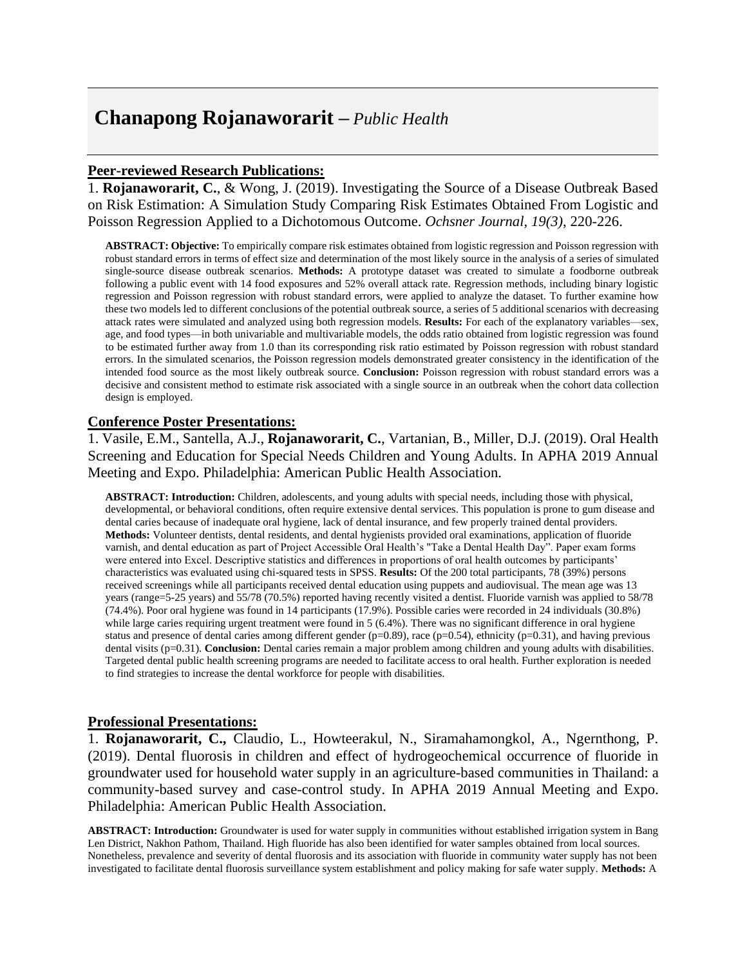## **Chanapong Rojanaworarit –** *Public Health*

## **Peer-reviewed Research Publications:**

1. **Rojanaworarit, C.**, & Wong, J. (2019). Investigating the Source of a Disease Outbreak Based on Risk Estimation: A Simulation Study Comparing Risk Estimates Obtained From Logistic and Poisson Regression Applied to a Dichotomous Outcome. *Ochsner Journal, 19(3)*, 220-226.

**ABSTRACT: Objective:** To empirically compare risk estimates obtained from logistic regression and Poisson regression with robust standard errors in terms of effect size and determination of the most likely source in the analysis of a series of simulated single-source disease outbreak scenarios. **Methods:** A prototype dataset was created to simulate a foodborne outbreak following a public event with 14 food exposures and 52% overall attack rate. Regression methods, including binary logistic regression and Poisson regression with robust standard errors, were applied to analyze the dataset. To further examine how these two models led to different conclusions of the potential outbreak source, a series of 5 additional scenarios with decreasing attack rates were simulated and analyzed using both regression models. **Results:** For each of the explanatory variables—sex, age, and food types—in both univariable and multivariable models, the odds ratio obtained from logistic regression was found to be estimated further away from 1.0 than its corresponding risk ratio estimated by Poisson regression with robust standard errors. In the simulated scenarios, the Poisson regression models demonstrated greater consistency in the identification of the intended food source as the most likely outbreak source. **Conclusion:** Poisson regression with robust standard errors was a decisive and consistent method to estimate risk associated with a single source in an outbreak when the cohort data collection design is employed.

### **Conference Poster Presentations:**

1. Vasile, E.M., Santella, A.J., **Rojanaworarit, C.**, Vartanian, B., Miller, D.J. (2019). Oral Health Screening and Education for Special Needs Children and Young Adults. In APHA 2019 Annual Meeting and Expo. Philadelphia: American Public Health Association.

**ABSTRACT: Introduction:** Children, adolescents, and young adults with special needs, including those with physical, developmental, or behavioral conditions, often require extensive dental services. This population is prone to gum disease and dental caries because of inadequate oral hygiene, lack of dental insurance, and few properly trained dental providers. **Methods:** Volunteer dentists, dental residents, and dental hygienists provided oral examinations, application of fluoride varnish, and dental education as part of Project Accessible Oral Health's "Take a Dental Health Day". Paper exam forms were entered into Excel. Descriptive statistics and differences in proportions of oral health outcomes by participants' characteristics was evaluated using chi-squared tests in SPSS. **Results:** Of the 200 total participants, 78 (39%) persons received screenings while all participants received dental education using puppets and audiovisual. The mean age was 13 years (range=5-25 years) and 55/78 (70.5%) reported having recently visited a dentist. Fluoride varnish was applied to 58/78 (74.4%). Poor oral hygiene was found in 14 participants (17.9%). Possible caries were recorded in 24 individuals (30.8%) while large caries requiring urgent treatment were found in 5 (6.4%). There was no significant difference in oral hygiene status and presence of dental caries among different gender ( $p=0.89$ ), race ( $p=0.54$ ), ethnicity ( $p=0.31$ ), and having previous dental visits (p=0.31). **Conclusion:** Dental caries remain a major problem among children and young adults with disabilities. Targeted dental public health screening programs are needed to facilitate access to oral health. Further exploration is needed to find strategies to increase the dental workforce for people with disabilities.

#### **Professional Presentations:**

1. **Rojanaworarit, C.,** Claudio, L., Howteerakul, N., Siramahamongkol, A., Ngernthong, P. (2019). Dental fluorosis in children and effect of hydrogeochemical occurrence of fluoride in groundwater used for household water supply in an agriculture-based communities in Thailand: a community-based survey and case-control study. In APHA 2019 Annual Meeting and Expo. Philadelphia: American Public Health Association.

**ABSTRACT: Introduction:** Groundwater is used for water supply in communities without established irrigation system in Bang Len District, Nakhon Pathom, Thailand. High fluoride has also been identified for water samples obtained from local sources. Nonetheless, prevalence and severity of dental fluorosis and its association with fluoride in community water supply has not been investigated to facilitate dental fluorosis surveillance system establishment and policy making for safe water supply. **Methods:** A